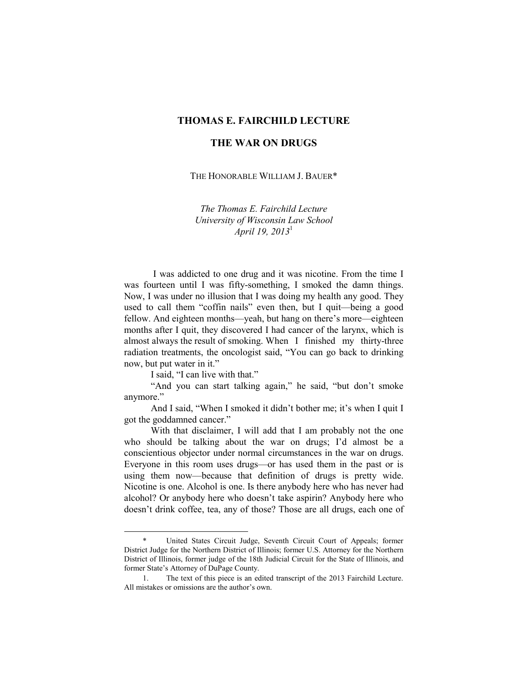## **THOMAS E. FAIRCHILD LECTURE**

## **THE WAR ON DRUGS**

THE HONORABLE WILLIAM J. BAUER\*

*The Thomas E. Fairchild Lecture University of Wisconsin Law School April 19, 2013*<sup>1</sup>

 I was addicted to one drug and it was nicotine. From the time I was fourteen until I was fifty-something, I smoked the damn things. Now, I was under no illusion that I was doing my health any good. They used to call them "coffin nails" even then, but I quit—being a good fellow. And eighteen months—yeah, but hang on there's more—eighteen months after I quit, they discovered I had cancer of the larynx, which is almost always the result of smoking. When I finished my thirty-three radiation treatments, the oncologist said, "You can go back to drinking now, but put water in it."

I said, "I can live with that."

-

 "And you can start talking again," he said, "but don't smoke anymore."

 And I said, "When I smoked it didn't bother me; it's when I quit I got the goddamned cancer."

 With that disclaimer, I will add that I am probably not the one who should be talking about the war on drugs; I'd almost be a conscientious objector under normal circumstances in the war on drugs. Everyone in this room uses drugs—or has used them in the past or is using them now—because that definition of drugs is pretty wide. Nicotine is one. Alcohol is one. Is there anybody here who has never had alcohol? Or anybody here who doesn't take aspirin? Anybody here who doesn't drink coffee, tea, any of those? Those are all drugs, each one of

United States Circuit Judge, Seventh Circuit Court of Appeals; former District Judge for the Northern District of Illinois; former U.S. Attorney for the Northern District of Illinois, former judge of the 18th Judicial Circuit for the State of Illinois, and former State's Attorney of DuPage County.

 <sup>1.</sup> The text of this piece is an edited transcript of the 2013 Fairchild Lecture. All mistakes or omissions are the author's own.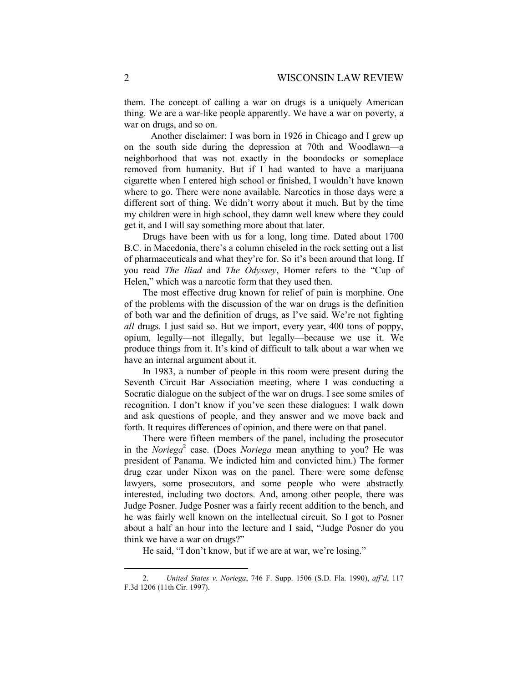them. The concept of calling a war on drugs is a uniquely American thing. We are a war-like people apparently. We have a war on poverty, a war on drugs, and so on.

 Another disclaimer: I was born in 1926 in Chicago and I grew up on the south side during the depression at 70th and Woodlawn—a neighborhood that was not exactly in the boondocks or someplace removed from humanity. But if I had wanted to have a marijuana cigarette when I entered high school or finished, I wouldn't have known where to go. There were none available. Narcotics in those days were a different sort of thing. We didn't worry about it much. But by the time my children were in high school, they damn well knew where they could get it, and I will say something more about that later.

Drugs have been with us for a long, long time. Dated about 1700 B.C. in Macedonia, there's a column chiseled in the rock setting out a list of pharmaceuticals and what they're for. So it's been around that long. If you read *The Iliad* and *The Odyssey*, Homer refers to the "Cup of Helen," which was a narcotic form that they used then.

The most effective drug known for relief of pain is morphine. One of the problems with the discussion of the war on drugs is the definition of both war and the definition of drugs, as I've said. We're not fighting *all* drugs. I just said so. But we import, every year, 400 tons of poppy, opium, legally—not illegally, but legally—because we use it. We produce things from it. It's kind of difficult to talk about a war when we have an internal argument about it.

In 1983, a number of people in this room were present during the Seventh Circuit Bar Association meeting, where I was conducting a Socratic dialogue on the subject of the war on drugs. I see some smiles of recognition. I don't know if you've seen these dialogues: I walk down and ask questions of people, and they answer and we move back and forth. It requires differences of opinion, and there were on that panel.

There were fifteen members of the panel, including the prosecutor in the *Noriega*<sup>2</sup> case. (Does *Noriega* mean anything to you? He was president of Panama. We indicted him and convicted him.) The former drug czar under Nixon was on the panel. There were some defense lawyers, some prosecutors, and some people who were abstractly interested, including two doctors. And, among other people, there was Judge Posner. Judge Posner was a fairly recent addition to the bench, and he was fairly well known on the intellectual circuit. So I got to Posner about a half an hour into the lecture and I said, "Judge Posner do you think we have a war on drugs?"

He said, "I don't know, but if we are at war, we're losing."

-

 <sup>2.</sup> *United States v. Noriega*, 746 F. Supp. 1506 (S.D. Fla. 1990), *aff'd*, 117 F.3d 1206 (11th Cir. 1997).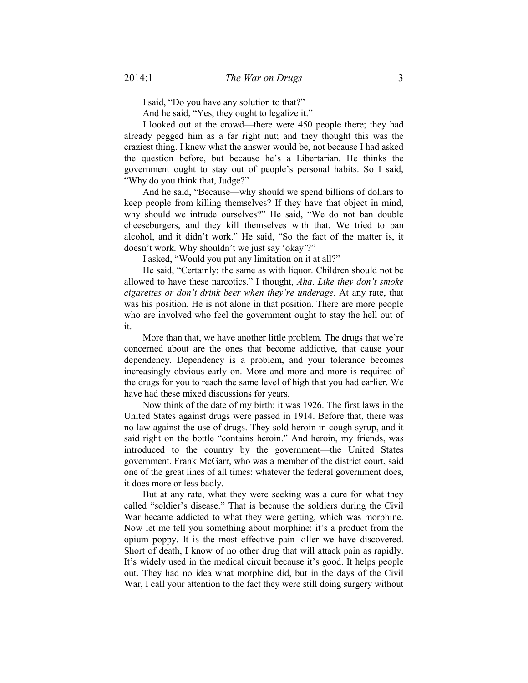I said, "Do you have any solution to that?"

And he said, "Yes, they ought to legalize it."

I looked out at the crowd—there were 450 people there; they had already pegged him as a far right nut; and they thought this was the craziest thing. I knew what the answer would be, not because I had asked the question before, but because he's a Libertarian. He thinks the government ought to stay out of people's personal habits. So I said, "Why do you think that, Judge?"

And he said, "Because—why should we spend billions of dollars to keep people from killing themselves? If they have that object in mind, why should we intrude ourselves?" He said, "We do not ban double cheeseburgers, and they kill themselves with that. We tried to ban alcohol, and it didn't work." He said, "So the fact of the matter is, it doesn't work. Why shouldn't we just say 'okay'?"

I asked, "Would you put any limitation on it at all?"

He said, "Certainly: the same as with liquor. Children should not be allowed to have these narcotics." I thought, *Aha*. *Like they don't smoke cigarettes or don't drink beer when they're underage.* At any rate, that was his position. He is not alone in that position. There are more people who are involved who feel the government ought to stay the hell out of it.

More than that, we have another little problem. The drugs that we're concerned about are the ones that become addictive, that cause your dependency. Dependency is a problem, and your tolerance becomes increasingly obvious early on. More and more and more is required of the drugs for you to reach the same level of high that you had earlier. We have had these mixed discussions for years.

Now think of the date of my birth: it was 1926. The first laws in the United States against drugs were passed in 1914. Before that, there was no law against the use of drugs. They sold heroin in cough syrup, and it said right on the bottle "contains heroin." And heroin, my friends, was introduced to the country by the government—the United States government. Frank McGarr, who was a member of the district court, said one of the great lines of all times: whatever the federal government does, it does more or less badly.

But at any rate, what they were seeking was a cure for what they called "soldier's disease." That is because the soldiers during the Civil War became addicted to what they were getting, which was morphine. Now let me tell you something about morphine: it's a product from the opium poppy. It is the most effective pain killer we have discovered. Short of death, I know of no other drug that will attack pain as rapidly. It's widely used in the medical circuit because it's good. It helps people out. They had no idea what morphine did, but in the days of the Civil War, I call your attention to the fact they were still doing surgery without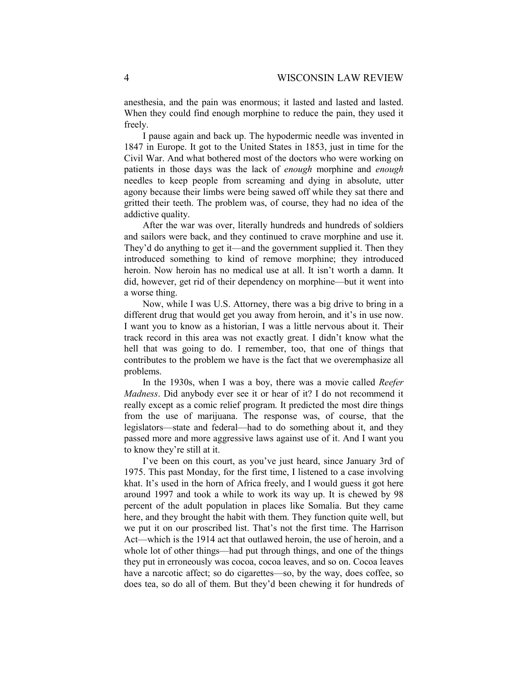anesthesia, and the pain was enormous; it lasted and lasted and lasted. When they could find enough morphine to reduce the pain, they used it freely.

I pause again and back up. The hypodermic needle was invented in 1847 in Europe. It got to the United States in 1853, just in time for the Civil War. And what bothered most of the doctors who were working on patients in those days was the lack of *enough* morphine and *enough* needles to keep people from screaming and dying in absolute, utter agony because their limbs were being sawed off while they sat there and gritted their teeth. The problem was, of course, they had no idea of the addictive quality.

After the war was over, literally hundreds and hundreds of soldiers and sailors were back, and they continued to crave morphine and use it. They'd do anything to get it—and the government supplied it. Then they introduced something to kind of remove morphine; they introduced heroin. Now heroin has no medical use at all. It isn't worth a damn. It did, however, get rid of their dependency on morphine—but it went into a worse thing.

Now, while I was U.S. Attorney, there was a big drive to bring in a different drug that would get you away from heroin, and it's in use now. I want you to know as a historian, I was a little nervous about it. Their track record in this area was not exactly great. I didn't know what the hell that was going to do. I remember, too, that one of things that contributes to the problem we have is the fact that we overemphasize all problems.

In the 1930s, when I was a boy, there was a movie called *Reefer Madness*. Did anybody ever see it or hear of it? I do not recommend it really except as a comic relief program. It predicted the most dire things from the use of marijuana. The response was, of course, that the legislators—state and federal—had to do something about it, and they passed more and more aggressive laws against use of it. And I want you to know they're still at it.

I've been on this court, as you've just heard, since January 3rd of 1975. This past Monday, for the first time, I listened to a case involving khat. It's used in the horn of Africa freely, and I would guess it got here around 1997 and took a while to work its way up. It is chewed by 98 percent of the adult population in places like Somalia. But they came here, and they brought the habit with them. They function quite well, but we put it on our proscribed list. That's not the first time. The Harrison Act—which is the 1914 act that outlawed heroin, the use of heroin, and a whole lot of other things—had put through things, and one of the things they put in erroneously was cocoa, cocoa leaves, and so on. Cocoa leaves have a narcotic affect; so do cigarettes—so, by the way, does coffee, so does tea, so do all of them. But they'd been chewing it for hundreds of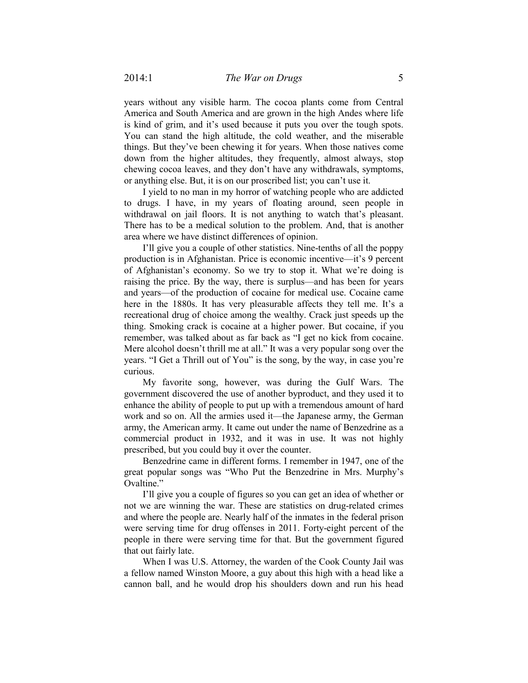years without any visible harm. The cocoa plants come from Central America and South America and are grown in the high Andes where life is kind of grim, and it's used because it puts you over the tough spots. You can stand the high altitude, the cold weather, and the miserable things. But they've been chewing it for years. When those natives come down from the higher altitudes, they frequently, almost always, stop chewing cocoa leaves, and they don't have any withdrawals, symptoms, or anything else. But, it is on our proscribed list; you can't use it.

I yield to no man in my horror of watching people who are addicted to drugs. I have, in my years of floating around, seen people in withdrawal on jail floors. It is not anything to watch that's pleasant. There has to be a medical solution to the problem. And, that is another area where we have distinct differences of opinion.

I'll give you a couple of other statistics. Nine-tenths of all the poppy production is in Afghanistan. Price is economic incentive—it's 9 percent of Afghanistan's economy. So we try to stop it. What we're doing is raising the price. By the way, there is surplus—and has been for years and years—of the production of cocaine for medical use. Cocaine came here in the 1880s. It has very pleasurable affects they tell me. It's a recreational drug of choice among the wealthy. Crack just speeds up the thing. Smoking crack is cocaine at a higher power. But cocaine, if you remember, was talked about as far back as "I get no kick from cocaine. Mere alcohol doesn't thrill me at all." It was a very popular song over the years. "I Get a Thrill out of You" is the song, by the way, in case you're curious.

My favorite song, however, was during the Gulf Wars. The government discovered the use of another byproduct, and they used it to enhance the ability of people to put up with a tremendous amount of hard work and so on. All the armies used it—the Japanese army, the German army, the American army. It came out under the name of Benzedrine as a commercial product in 1932, and it was in use. It was not highly prescribed, but you could buy it over the counter.

Benzedrine came in different forms. I remember in 1947, one of the great popular songs was "Who Put the Benzedrine in Mrs. Murphy's Ovaltine."

I'll give you a couple of figures so you can get an idea of whether or not we are winning the war. These are statistics on drug-related crimes and where the people are. Nearly half of the inmates in the federal prison were serving time for drug offenses in 2011. Forty-eight percent of the people in there were serving time for that. But the government figured that out fairly late.

When I was U.S. Attorney, the warden of the Cook County Jail was a fellow named Winston Moore, a guy about this high with a head like a cannon ball, and he would drop his shoulders down and run his head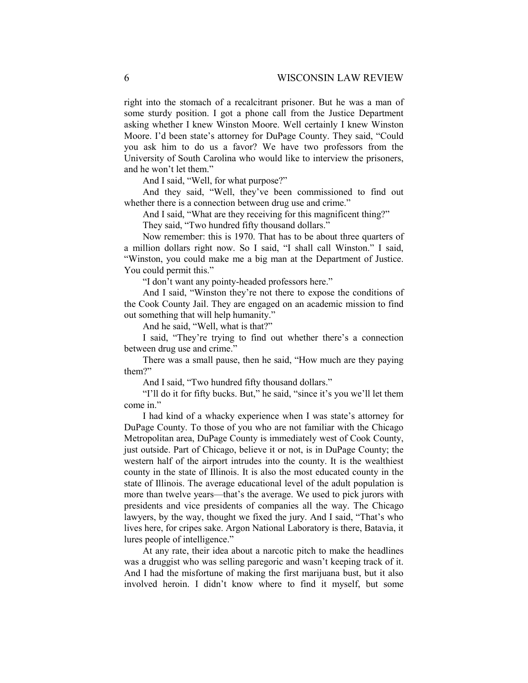right into the stomach of a recalcitrant prisoner. But he was a man of some sturdy position. I got a phone call from the Justice Department asking whether I knew Winston Moore. Well certainly I knew Winston Moore. I'd been state's attorney for DuPage County. They said, "Could you ask him to do us a favor? We have two professors from the University of South Carolina who would like to interview the prisoners, and he won't let them."

And I said, "Well, for what purpose?"

And they said, "Well, they've been commissioned to find out whether there is a connection between drug use and crime."

And I said, "What are they receiving for this magnificent thing?"

They said, "Two hundred fifty thousand dollars."

Now remember: this is 1970. That has to be about three quarters of a million dollars right now. So I said, "I shall call Winston." I said, "Winston, you could make me a big man at the Department of Justice. You could permit this."

"I don't want any pointy-headed professors here."

And I said, "Winston they're not there to expose the conditions of the Cook County Jail. They are engaged on an academic mission to find out something that will help humanity."

And he said, "Well, what is that?"

I said, "They're trying to find out whether there's a connection between drug use and crime."

There was a small pause, then he said, "How much are they paying them?"

And I said, "Two hundred fifty thousand dollars."

"I'll do it for fifty bucks. But," he said, "since it's you we'll let them come in."

I had kind of a whacky experience when I was state's attorney for DuPage County. To those of you who are not familiar with the Chicago Metropolitan area, DuPage County is immediately west of Cook County, just outside. Part of Chicago, believe it or not, is in DuPage County; the western half of the airport intrudes into the county. It is the wealthiest county in the state of Illinois. It is also the most educated county in the state of Illinois. The average educational level of the adult population is more than twelve years—that's the average. We used to pick jurors with presidents and vice presidents of companies all the way. The Chicago lawyers, by the way, thought we fixed the jury. And I said, "That's who lives here, for cripes sake. Argon National Laboratory is there, Batavia, it lures people of intelligence."

At any rate, their idea about a narcotic pitch to make the headlines was a druggist who was selling paregoric and wasn't keeping track of it. And I had the misfortune of making the first marijuana bust, but it also involved heroin. I didn't know where to find it myself, but some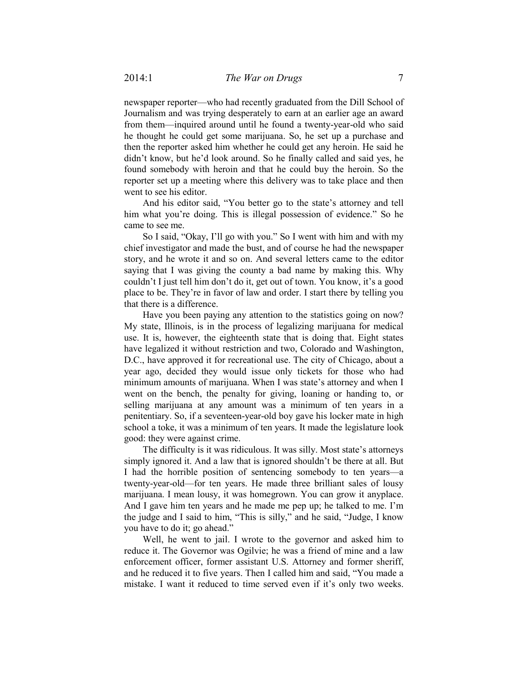newspaper reporter—who had recently graduated from the Dill School of Journalism and was trying desperately to earn at an earlier age an award from them—inquired around until he found a twenty-year-old who said he thought he could get some marijuana. So, he set up a purchase and then the reporter asked him whether he could get any heroin. He said he didn't know, but he'd look around. So he finally called and said yes, he found somebody with heroin and that he could buy the heroin. So the reporter set up a meeting where this delivery was to take place and then went to see his editor.

And his editor said, "You better go to the state's attorney and tell him what you're doing. This is illegal possession of evidence." So he came to see me.

So I said, "Okay, I'll go with you." So I went with him and with my chief investigator and made the bust, and of course he had the newspaper story, and he wrote it and so on. And several letters came to the editor saying that I was giving the county a bad name by making this. Why couldn't I just tell him don't do it, get out of town. You know, it's a good place to be. They're in favor of law and order. I start there by telling you that there is a difference.

Have you been paying any attention to the statistics going on now? My state, Illinois, is in the process of legalizing marijuana for medical use. It is, however, the eighteenth state that is doing that. Eight states have legalized it without restriction and two, Colorado and Washington, D.C., have approved it for recreational use. The city of Chicago, about a year ago, decided they would issue only tickets for those who had minimum amounts of marijuana. When I was state's attorney and when I went on the bench, the penalty for giving, loaning or handing to, or selling marijuana at any amount was a minimum of ten years in a penitentiary. So, if a seventeen-year-old boy gave his locker mate in high school a toke, it was a minimum of ten years. It made the legislature look good: they were against crime.

The difficulty is it was ridiculous. It was silly. Most state's attorneys simply ignored it. And a law that is ignored shouldn't be there at all. But I had the horrible position of sentencing somebody to ten years—a twenty-year-old—for ten years. He made three brilliant sales of lousy marijuana. I mean lousy, it was homegrown. You can grow it anyplace. And I gave him ten years and he made me pep up; he talked to me. I'm the judge and I said to him, "This is silly," and he said, "Judge, I know you have to do it; go ahead."

Well, he went to jail. I wrote to the governor and asked him to reduce it. The Governor was Ogilvie; he was a friend of mine and a law enforcement officer, former assistant U.S. Attorney and former sheriff, and he reduced it to five years. Then I called him and said, "You made a mistake. I want it reduced to time served even if it's only two weeks.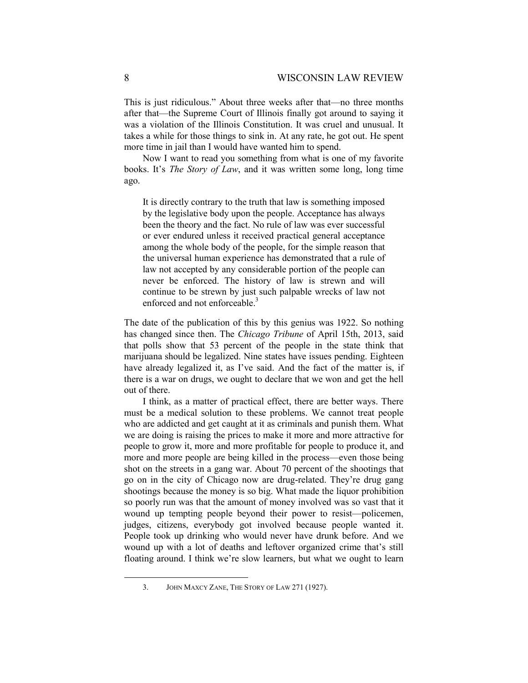This is just ridiculous." About three weeks after that—no three months after that—the Supreme Court of Illinois finally got around to saying it was a violation of the Illinois Constitution. It was cruel and unusual. It takes a while for those things to sink in. At any rate, he got out. He spent more time in jail than I would have wanted him to spend.

Now I want to read you something from what is one of my favorite books. It's *The Story of Law*, and it was written some long, long time ago.

It is directly contrary to the truth that law is something imposed by the legislative body upon the people. Acceptance has always been the theory and the fact. No rule of law was ever successful or ever endured unless it received practical general acceptance among the whole body of the people, for the simple reason that the universal human experience has demonstrated that a rule of law not accepted by any considerable portion of the people can never be enforced. The history of law is strewn and will continue to be strewn by just such palpable wrecks of law not enforced and not enforceable.<sup>3</sup>

The date of the publication of this by this genius was 1922. So nothing has changed since then. The *Chicago Tribune* of April 15th, 2013, said that polls show that 53 percent of the people in the state think that marijuana should be legalized. Nine states have issues pending. Eighteen have already legalized it, as I've said. And the fact of the matter is, if there is a war on drugs, we ought to declare that we won and get the hell out of there.

I think, as a matter of practical effect, there are better ways. There must be a medical solution to these problems. We cannot treat people who are addicted and get caught at it as criminals and punish them. What we are doing is raising the prices to make it more and more attractive for people to grow it, more and more profitable for people to produce it, and more and more people are being killed in the process—even those being shot on the streets in a gang war. About 70 percent of the shootings that go on in the city of Chicago now are drug-related. They're drug gang shootings because the money is so big. What made the liquor prohibition so poorly run was that the amount of money involved was so vast that it wound up tempting people beyond their power to resist—policemen, judges, citizens, everybody got involved because people wanted it. People took up drinking who would never have drunk before. And we wound up with a lot of deaths and leftover organized crime that's still floating around. I think we're slow learners, but what we ought to learn

-

 <sup>3.</sup> JOHN MAXCY ZANE, THE STORY OF LAW 271 (1927).